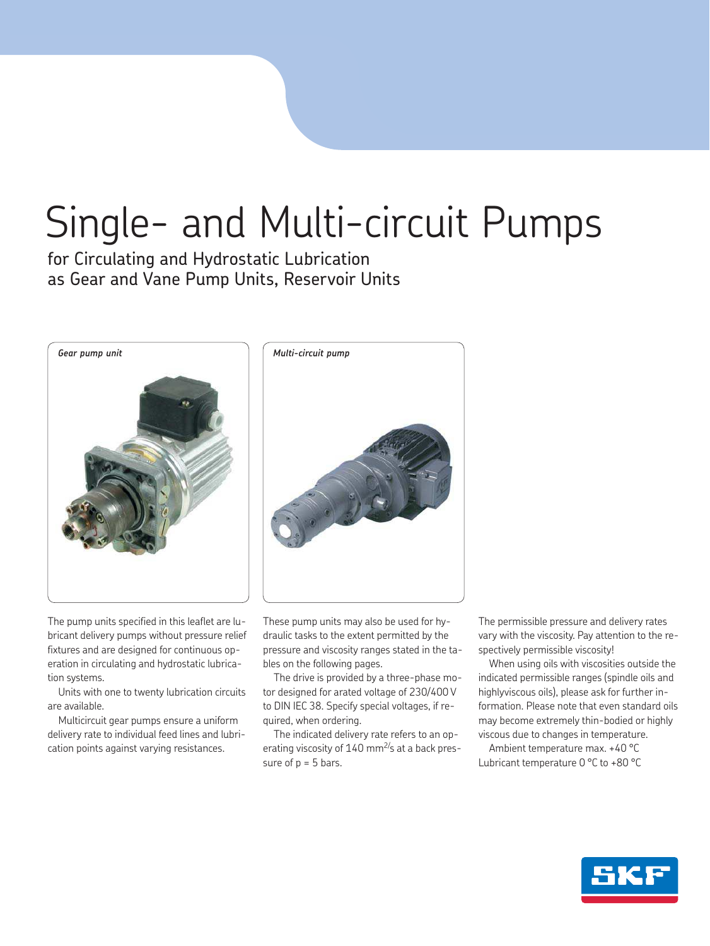# Single- and Multi-circuit Pumps

for Circulating and Hydrostatic Lubrication as Gear and Vane Pump Units, Reservoir Units



The pump units specified in this leaflet are lubricant delivery pumps without pressure relief fixtures and are designed for continuous operation in circulating and hydrostatic lubrication systems.

Units with one to twenty lubrication circuits are available.

Multicircuit gear pumps ensure a uniform delivery rate to individual feed lines and lubrication points against varying resistances.

These pump units may also be used for hydraulic tasks to the extent permitted by the pressure and viscosity ranges stated in the tables on the following pages.

The drive is provided by a three-phase motor designed for arated voltage of 230/400 V to DIN IEC 38. Specify special voltages, if required, when ordering.

The indicated delivery rate refers to an operating viscosity of  $140 \text{ mm}^{2/s}$  at a back pressure of  $p = 5$  bars.

The permissible pressure and delivery rates vary with the viscosity. Pay attention to the respectively permissible viscosity!

When using oils with viscosities outside the indicated permissible ranges (spindle oils and highlyviscous oils), please ask for further information. Please note that even standard oils may become extremely thin-bodied or highly viscous due to changes in temperature.

Ambient temperature max. +40 °C Lubricant temperature 0 °C to +80 °C

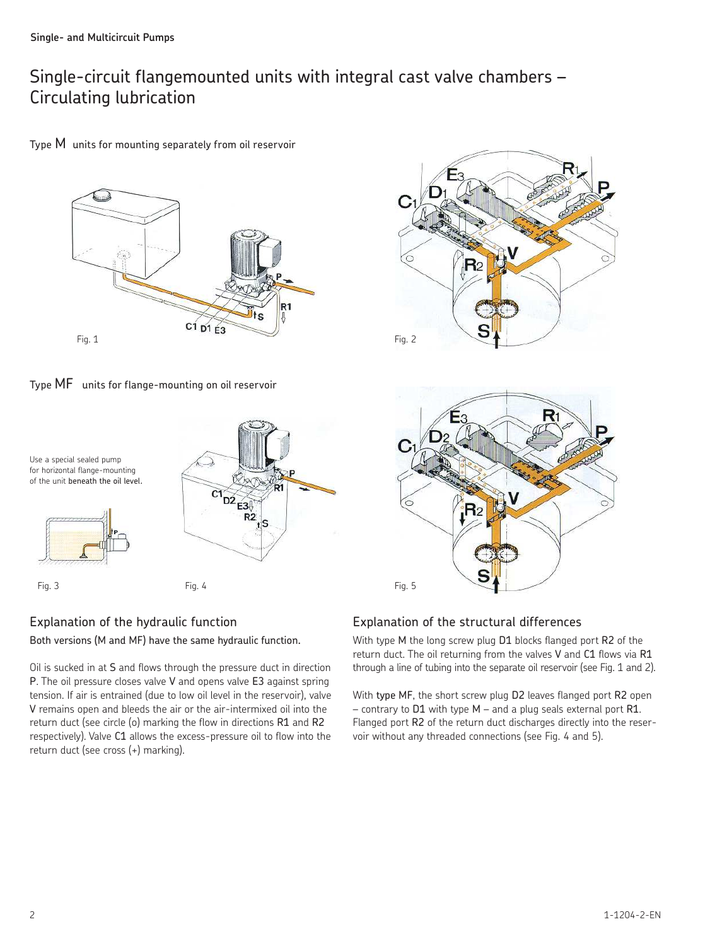### Single-circuit flangemounted units with integral cast valve chambers – Circulating lubrication

Type M units for mounting separately from oil reservoir







### Explanation of the hydraulic function

Both versions (M and MF) have the same hydraulic function.

Oil is sucked in at S and flows through the pressure duct in direction P. The oil pressure closes valve V and opens valve E3 against spring tension. If air is entrained (due to low oil level in the reservoir), valve V remains open and bleeds the air or the air-intermixed oil into the return duct (see circle (o) marking the flow in directions R1 and R2 respectively). Valve C1 allows the excess-pressure oil to flow into the return duct (see cross (+) marking).





### Explanation of the structural differences

With type M the long screw plug D1 blocks flanged port R2 of the return duct. The oil returning from the valves V and C1 flows via R1 through a line of tubing into the separate oil reservoir (see Fig. 1 and 2).

With type MF, the short screw plug D2 leaves flanged port R2 open – contrary to  $D1$  with type  $M$  – and a plug seals external port R1. Flanged port R2 of the return duct discharges directly into the reservoir without any threaded connections (see Fig. 4 and 5).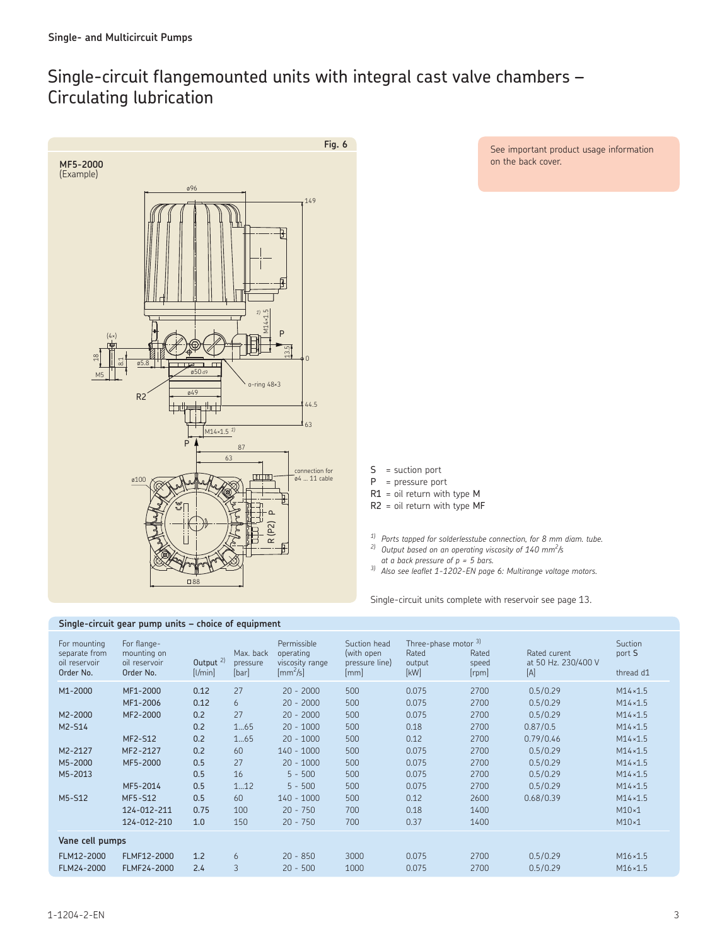### Single-circuit flangemounted units with integral cast valve chambers – Circulating lubrication



| For mounting<br>separate from<br>oil reservoir<br>Order No. | For flange-<br>mounting on<br>oil reservoir<br>Order No. | Output $2$<br>$\lfloor$ /min $\rfloor$ | Max. back<br>pressure<br>[bar]     | Permissible<br>operating<br>viscosity range<br>$\text{mm}^2/\text{s}$                | Suction head<br>(with open<br>pressure line)<br>[mm] | Three-phase motor 3)<br>Rated<br>output<br>[kW]  | Rated<br>speed<br> rpm                       | Rated curent<br>at 50 Hz. 230/400 V<br>[A]                             | Suction<br>port S<br>thread d1                                                                           |
|-------------------------------------------------------------|----------------------------------------------------------|----------------------------------------|------------------------------------|--------------------------------------------------------------------------------------|------------------------------------------------------|--------------------------------------------------|----------------------------------------------|------------------------------------------------------------------------|----------------------------------------------------------------------------------------------------------|
| M1-2000<br>M2-2000<br>M2-S14                                | MF1-2000<br>MF1-2006<br>MF2-2000                         | 0.12<br>0.12<br>0.2<br>0.2             | 27<br>6<br>27<br>165               | $20 - 2000$<br>$20 - 2000$<br>$20 - 2000$<br>$20 - 1000$                             | 500<br>500<br>500<br>500                             | 0.075<br>0.075<br>0.075<br>0.18                  | 2700<br>2700<br>2700<br>2700                 | 0.5/0.29<br>0.5/0.29<br>0.5/0.29<br>0.87/0.5                           | $M14\times1.5$<br>$M14\times1.5$<br>$M14\times1.5$<br>$M14\times1.5$                                     |
| M2-2127<br>M5-2000<br>M5-2013<br>M5-S12                     | MF2-S12<br>MF2-2127<br>MF5-2000<br>MF5-2014<br>MF5-S12   | 0.2<br>0.2<br>0.5<br>0.5<br>0.5<br>0.5 | 165<br>60<br>27<br>16<br>112<br>60 | $20 - 1000$<br>$140 - 1000$<br>$20 - 1000$<br>$5 - 500$<br>$5 - 500$<br>$140 - 1000$ | 500<br>500<br>500<br>500<br>500<br>500               | 0.12<br>0.075<br>0.075<br>0.075<br>0.075<br>0.12 | 2700<br>2700<br>2700<br>2700<br>2700<br>2600 | 0.79/0.46<br>0.5/0.29<br>0.5/0.29<br>0.5/0.29<br>0.5/0.29<br>0.68/0.39 | $M14\times1.5$<br>$M14\times1.5$<br>$M14\times1.5$<br>$M14\times1.5$<br>$M14\times1.5$<br>$M14\times1.5$ |
|                                                             | 124-012-211<br>124-012-210                               | 0.75<br>1.0                            | 100<br>150                         | $20 - 750$<br>$20 - 750$                                                             | 700<br>700                                           | 0.18<br>0.37                                     | 1400<br>1400                                 |                                                                        | $M10\times1$<br>$M10\times1$                                                                             |
| Vane cell pumps<br>FLM12-2000<br>FLM24-2000                 | FLMF12-2000<br>FLMF24-2000                               | 1.2<br>2.4                             | 6<br>3                             | $20 - 850$<br>$20 - 500$                                                             | 3000<br>1000                                         | 0.075<br>0.075                                   | 2700<br>2700                                 | 0.5/0.29<br>0.5/0.29                                                   | $M16\times1.5$<br>$M16\times1.5$                                                                         |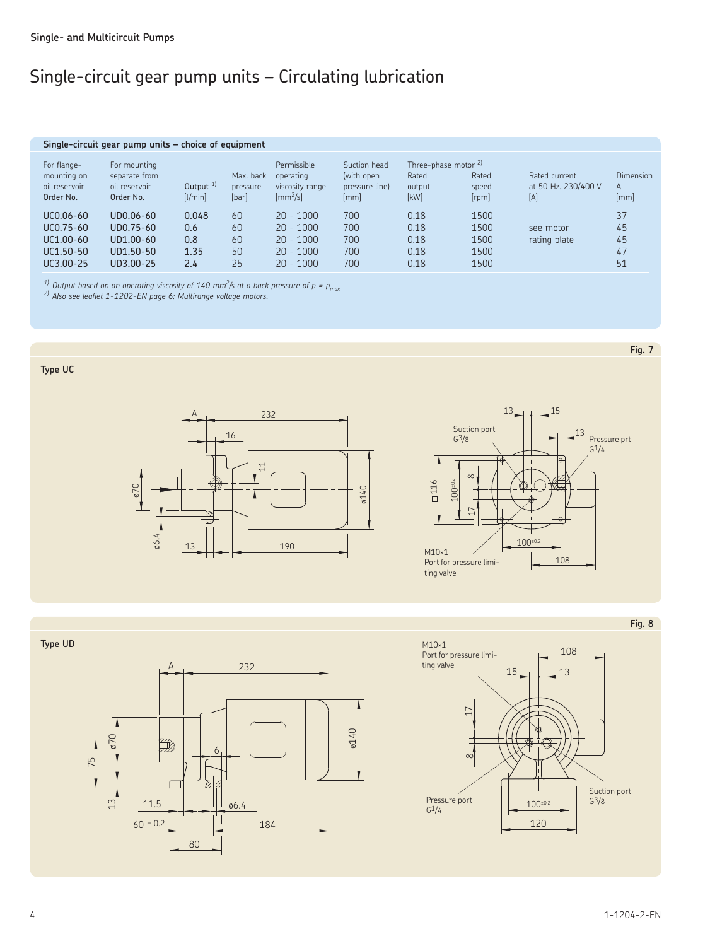### Single-circuit gear pump units – Circulating lubrication

#### **Single-circuit gear pump units – choice of equipment**

| For flange-<br>mounting on<br>oil reservoir<br>Order No.      | For mounting<br>separate from<br>oil reservoir<br>Order No.   | Output $1$<br>[1/min]              | Max. back<br>pressure<br>[bar] | Permissible<br>operating<br>viscosity range<br>$\rm [mm^2/s]$           | Suction head<br>(with open<br>pressure line)<br>[mm] | Three-phase motor <sup>2)</sup><br>Rated<br>output<br>[kW] | Rated<br>speed<br> rpm               | Rated current<br>at 50 Hz, 230/400 V<br>[A] | <b>Dimension</b><br>A<br>[mm] |
|---------------------------------------------------------------|---------------------------------------------------------------|------------------------------------|--------------------------------|-------------------------------------------------------------------------|------------------------------------------------------|------------------------------------------------------------|--------------------------------------|---------------------------------------------|-------------------------------|
| UC0.06-60<br>UC0.75-60<br>UC1.00-60<br>UC1.50-50<br>UC3.00-25 | UD0.06-60<br>UD0.75-60<br>UD1.00-60<br>UD1.50-50<br>UD3.00-25 | 0.048<br>0.6<br>0.8<br>1.35<br>2.4 | 60<br>60<br>60<br>50<br>25     | $20 - 1000$<br>$20 - 1000$<br>$20 - 1000$<br>$20 - 1000$<br>$20 - 1000$ | 700<br>700<br>700<br>700<br>700                      | 0.18<br>0.18<br>0.18<br>0.18<br>0.18                       | 1500<br>1500<br>1500<br>1500<br>1500 | see motor<br>rating plate                   | 37<br>45<br>45<br>47<br>51    |

 $^{1)}$  Output based on an operating viscosity of 140 mm<sup>2</sup>/s at a back pressure of p =  $p_{\scriptscriptstyle max}$ 

*2) Also see leaflet 1-1202-EN page 6: Multirange voltage motors.*









**Fig. 8**



**Fig. 7**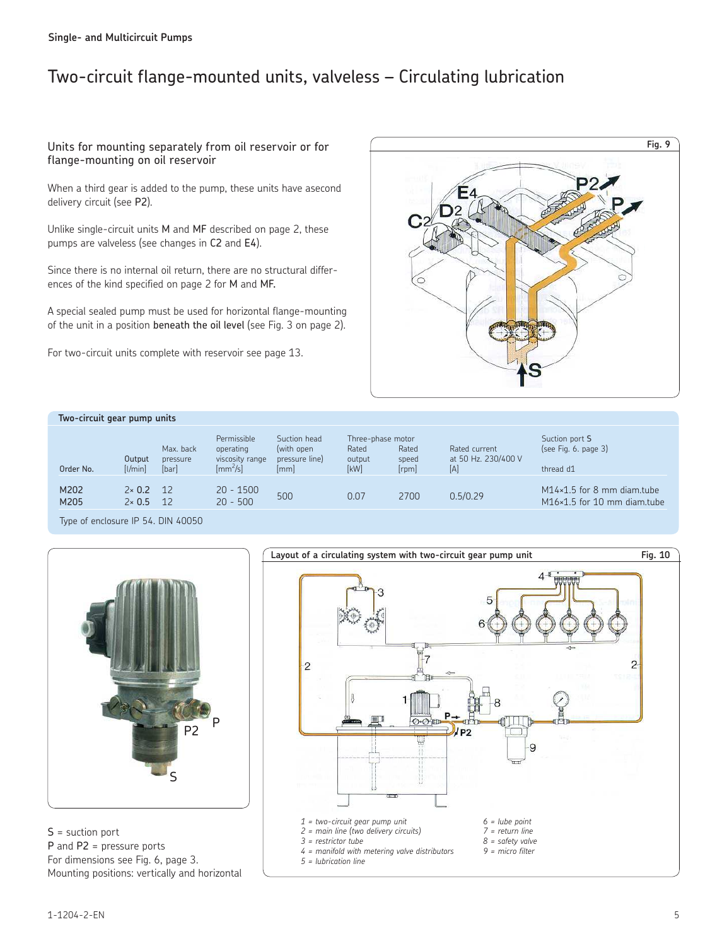### Two-circuit flange-mounted units, valveless – Circulating lubrication

#### Units for mounting separately from oil reservoir or for flange-mounting on oil reservoir

When a third gear is added to the pump, these units have asecond delivery circuit (see P2).

Unlike single-circuit units M and MF described on page 2, these pumps are valveless (see changes in C2 and E4).

Since there is no internal oil return, there are no structural differences of the kind specified on page 2 for M and MF.

A special sealed pump must be used for horizontal flange-mounting of the unit in a position beneath the oil level (see Fig. 3 on page 2).

For two-circuit units complete with reservoir see page 13.



#### **Two-circuit gear pump units**

| Order No.    | Output<br>[I/min]                | Max. back<br>pressure<br>[bar] | Permissible<br>operating<br>viscosity range<br>$\text{Im}$ $\mathfrak{m}^2$ /sl | Suction head<br>(with open)<br>pressure line)<br>lmml | Three-phase motor<br>Rated<br>output<br>[kW] | Rated<br>speed<br> rpm | Rated current<br>at 50 Hz, 230/400 V<br>[A] | Suction port S<br>(see Fig. 6. page 3)<br>thread d1       |
|--------------|----------------------------------|--------------------------------|---------------------------------------------------------------------------------|-------------------------------------------------------|----------------------------------------------|------------------------|---------------------------------------------|-----------------------------------------------------------|
| M202<br>M205 | $2 \times 0.2$<br>$2 \times 0.5$ | 12<br>12                       | $20 - 1500$<br>$20 - 500$                                                       | 500                                                   | 0.07                                         | 2700                   | 0.5/0.29                                    | M14×1.5 for 8 mm diam.tube<br>M16×1.5 for 10 mm diam.tube |

Type of enclosure IP 54. DIN 40050



S = suction port P and P2 = pressure ports For dimensions see Fig. 6, page 3. Mounting positions: vertically and horizontal

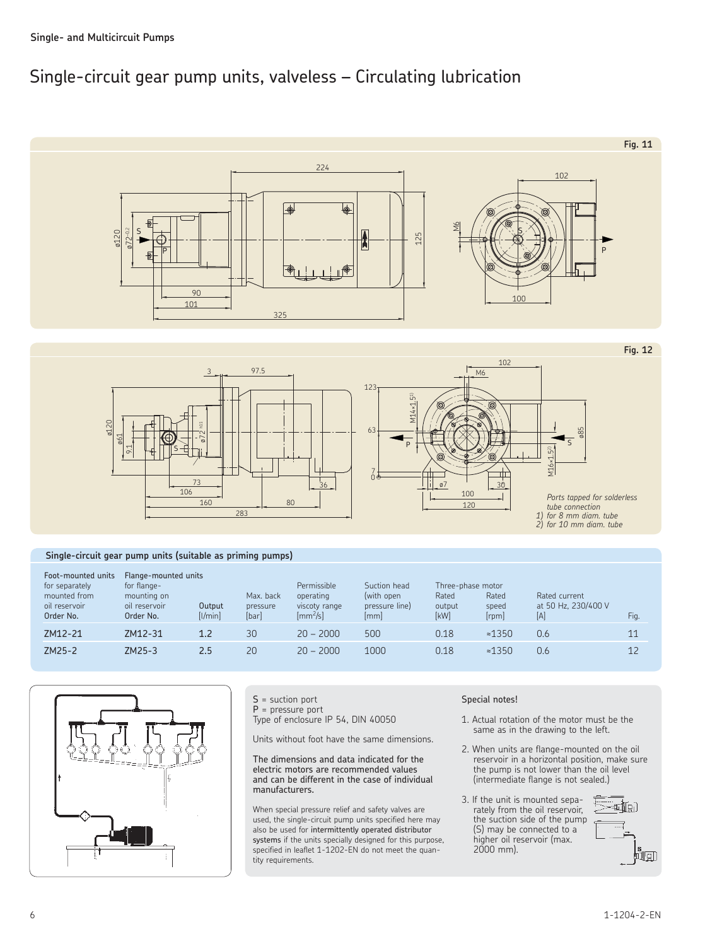### Single-circuit gear pump units, valveless – Circulating lubrication





#### **Single-circuit gear pump units (suitable as priming pumps)**

| Foot-mounted units            | Flange-mounted units         |         |                       |                            |                              |                   |                |                                      |      |
|-------------------------------|------------------------------|---------|-----------------------|----------------------------|------------------------------|-------------------|----------------|--------------------------------------|------|
| for separately                | for flange-                  |         |                       | Permissible                | Suction head                 | Three-phase motor |                |                                      |      |
| mounted from<br>oil reservoir | mounting on<br>oil reservoir | Output  | Max. back<br>pressure | operating<br>viscoty range | (with open<br>pressure line) | Rated<br>output   | Rated<br>speed | Rated current<br>at 50 Hz, 230/400 V |      |
| Order No.                     | Order No.                    | [1/min] | [bar]                 | $\text{mm}^2/\text{s}$     | <i>Imml</i>                  | [kW]              | rpm            | [A]                                  | Fig. |
| ZM12-21                       | ZM12-31                      | 1.2     | 30                    | $20 - 2000$                | 500                          | 0.18              | ~1350          | 0.6                                  | 11   |
| ZM25-2                        | ZM25-3                       | 2.5     | 20                    | $20 - 2000$                | 1000                         | 0.18              | ~1350          | 0.6                                  | 12   |



S = suction port  $P$  = pressure port Type of enclosure IP 54, DIN 40050

Units without foot have the same dimensions.

The dimensions and data indicated for the electric motors are recommended values and can be different in the case of individual manufacturers.

When special pressure relief and safety valves are used, the single-circuit pump units specified here may also be used for intermittently operated distributor systems if the units specially designed for this purpose, specified in leaflet 1-1202-EN do not meet the quantity requirements.

#### Special notes!

- 1. Actual rotation of the motor must be the same as in the drawing to the left.
- 2. When units are flange-mounted on the oil reservoir in a horizontal position, make sure the pump is not lower than the oil level (intermediate flange is not sealed.)
- 3. If the unit is mounted separately from the oil reservoir, the suction side of the pump (S) may be connected to a higher oil reservoir (max. 2000 mm).

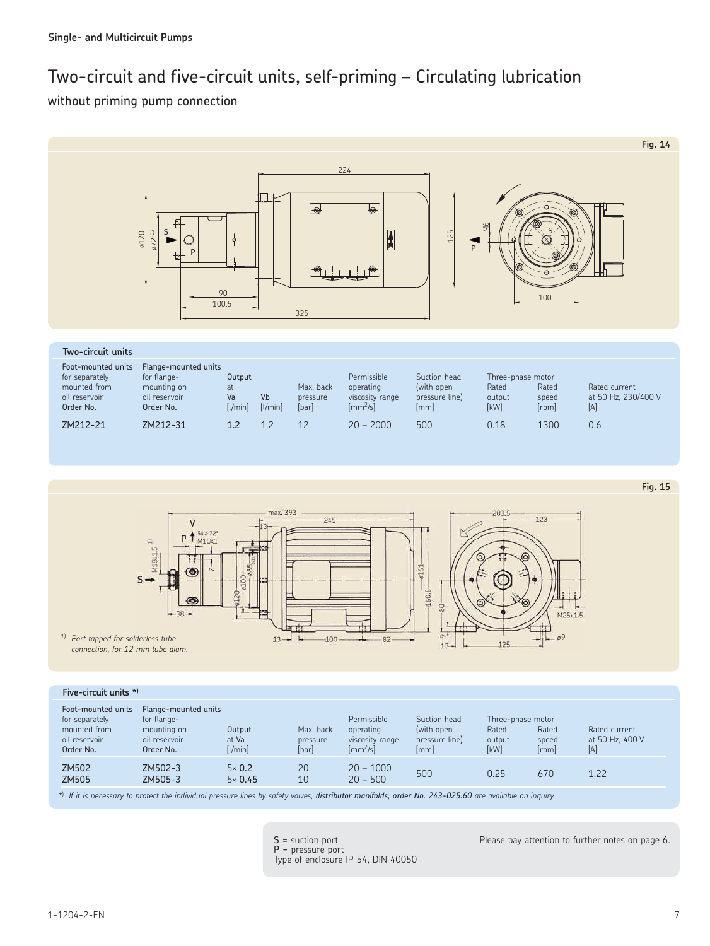### Two-circuit and five-circuit units, self-priming – Circulating lubrication

without priming pump connection



|                                                              | Two-circuit units  |                                                                                  |                               |               |                                |                                                               |                                                      |                                              |                         |                                             |
|--------------------------------------------------------------|--------------------|----------------------------------------------------------------------------------|-------------------------------|---------------|--------------------------------|---------------------------------------------------------------|------------------------------------------------------|----------------------------------------------|-------------------------|---------------------------------------------|
| for separately<br>mounted from<br>oil reservoir<br>Order No. | Foot-mounted units | Flange-mounted units<br>for flange-<br>mounting on<br>oil reservoir<br>Order No. | Output<br>at<br>Va<br>[1/min] | Vb<br>[1/min] | Max. back<br>pressure<br>[bar] | Permissible<br>operating<br>viscosity range<br>$\rm [mm^2/s]$ | Suction head<br>(with open<br>pressure line)<br>[mm] | Three-phase motor<br>Rated<br>output<br>[kW] | Rated<br>speed<br>[rpm] | Rated current<br>at 50 Hz, 230/400 V<br>[A] |
| ZM212-21                                                     |                    | 7M212-31                                                                         |                               |               | 12                             | $20 - 2000$                                                   | 500                                                  | 0.18                                         | 1300                    | 0.6                                         |



#### **Five-circuit units \*)**

| Foot-mounted units<br>for separately<br>mounted from<br>oil reservoir<br>Order No. | Flange-mounted units<br>for flange-<br>mounting on<br>oil reservoir<br>Order No. | Output<br>at Va<br>[1/min]        | Max. back<br>pressure<br>[bar] | Permissible<br>operating<br>viscosity range<br>$\rm [mm^2/s]$ | Suction head<br>(with open<br>pressure line)<br>lmml | Three-phase motor<br>Rated<br>output<br>[kW] | Rated<br>speed<br> rpm | Rated current<br>at 50 Hz, 400 V<br>[A] |
|------------------------------------------------------------------------------------|----------------------------------------------------------------------------------|-----------------------------------|--------------------------------|---------------------------------------------------------------|------------------------------------------------------|----------------------------------------------|------------------------|-----------------------------------------|
| ZM502<br>ZM505                                                                     | ZM502-3<br>ZM505-3                                                               | $5 \times 0.2$<br>$5 \times 0.45$ | 20<br>10                       | $20 - 1000$<br>$20 - 500$                                     | 500                                                  | 0.25                                         | 670                    | 1.22                                    |

<sup>\*</sup>) If it is necessary to protect the individual pressure lines by safety valves, distributor manifolds, order No. 243-025.60 are available on inquiry.

S = suction port  $P$  = pressure port Type of enclosure IP 54, DIN 40050

Please pay attention to further notes on page 6.

**Fig. 15**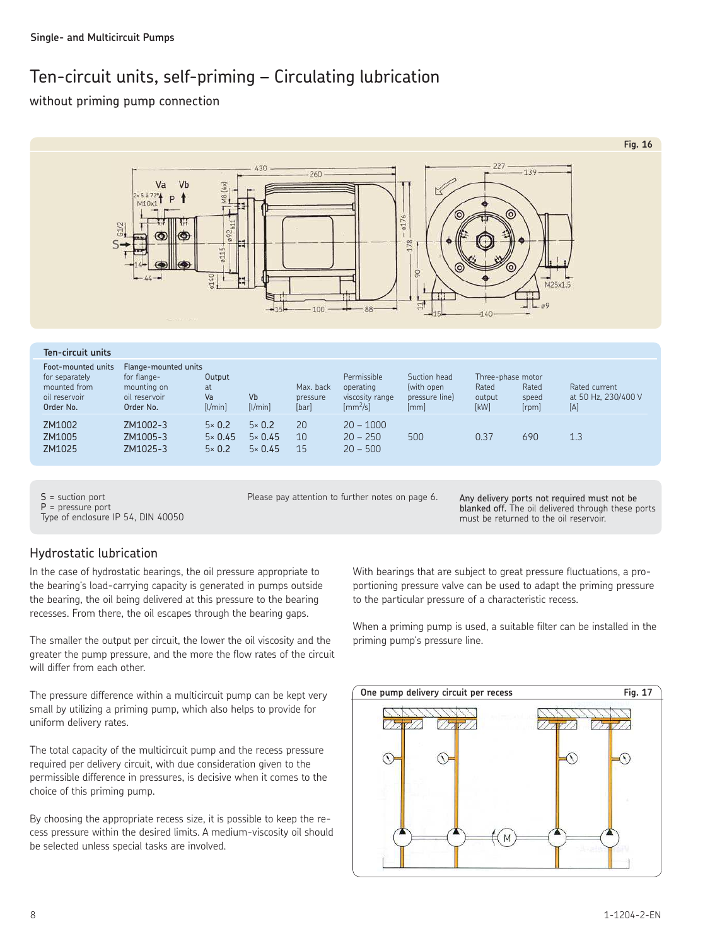## Ten-circuit units, self-priming – Circulating lubrication

### without priming pump connection



| Ten-circuit units                                                                  |                                                                                  |                                                     |                                                      |                                |                                                                         |                                                             |                                              |                         |                                             |
|------------------------------------------------------------------------------------|----------------------------------------------------------------------------------|-----------------------------------------------------|------------------------------------------------------|--------------------------------|-------------------------------------------------------------------------|-------------------------------------------------------------|----------------------------------------------|-------------------------|---------------------------------------------|
| Foot-mounted units<br>for separately<br>mounted from<br>oil reservoir<br>Order No. | Flange-mounted units<br>for flange-<br>mounting on<br>oil reservoir<br>Order No. | Output<br>at<br>Va<br>[1/min]                       | <b>V<sub>b</sub></b><br>[1/min]                      | Max. back<br>pressure<br>[bar] | Permissible<br>operating<br>viscosity range<br>$\text{[mm}^2/\text{s}]$ | Suction head<br>(with open<br>pressure line)<br><i>Imml</i> | Three-phase motor<br>Rated<br>output<br>[kW] | Rated<br>speed<br>[rpm] | Rated current<br>at 50 Hz, 230/400 V<br>[A] |
| ZM1002<br>ZM1005<br>ZM1025                                                         | ZM1002-3<br>ZM1005-3<br>ZM1025-3                                                 | $5 \times 0.2$<br>$5 \times 0.45$<br>$5 \times 0.2$ | $5 \times 0.2$<br>$5 \times 0.45$<br>$5 \times 0.45$ | 20<br>10<br>15                 | $20 - 1000$<br>$20 - 250$<br>$20 - 500$                                 | 500                                                         | 0.37                                         | 690                     | 1.3                                         |

 $S =$  suction port

P = pressure port

Type of enclosure IP 54, DIN 40050

Please pay attention to further notes on page 6. Any delivery ports not required must not be

blanked off. The oil delivered through these ports must be returned to the oil reservoir.

### Hydrostatic lubrication

In the case of hydrostatic bearings, the oil pressure appropriate to the bearing's load-carrying capacity is generated in pumps outside the bearing, the oil being delivered at this pressure to the bearing recesses. From there, the oil escapes through the bearing gaps.

The smaller the output per circuit, the lower the oil viscosity and the greater the pump pressure, and the more the flow rates of the circuit will differ from each other.

The pressure difference within a multicircuit pump can be kept very small by utilizing a priming pump, which also helps to provide for uniform delivery rates.

The total capacity of the multicircuit pump and the recess pressure required per delivery circuit, with due consideration given to the permissible difference in pressures, is decisive when it comes to the choice of this priming pump.

By choosing the appropriate recess size, it is possible to keep the recess pressure within the desired limits. A medium-viscosity oil should be selected unless special tasks are involved.

With bearings that are subject to great pressure fluctuations, a proportioning pressure valve can be used to adapt the priming pressure to the particular pressure of a characteristic recess.

When a priming pump is used, a suitable filter can be installed in the priming pump's pressure line.

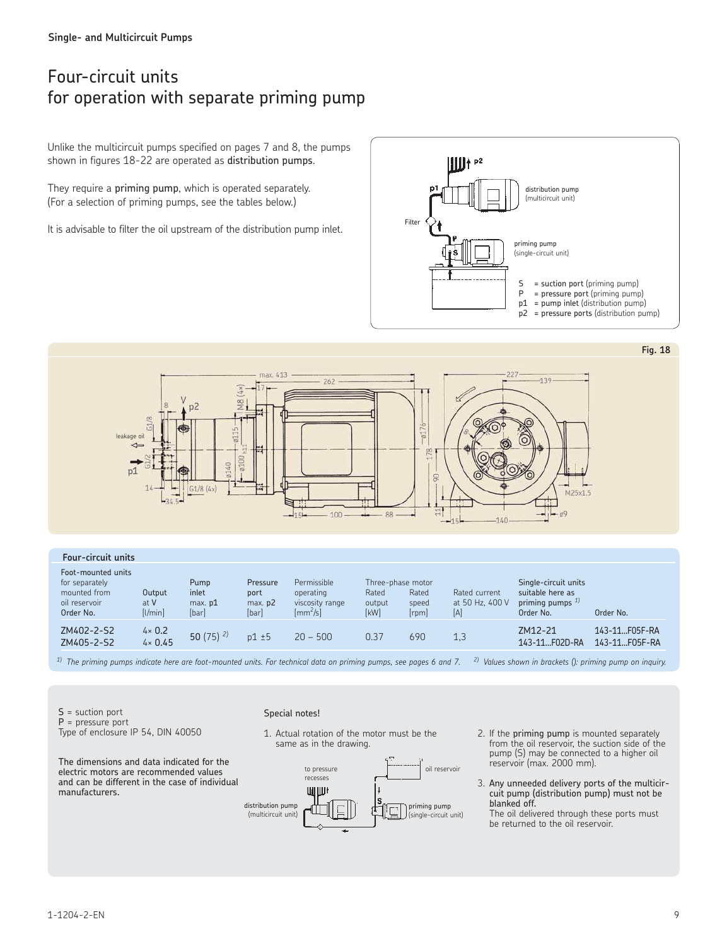### Four-circuit units for operation with separate priming pump

Unlike the multicircuit pumps specified on pages 7 and 8, the pumps shown in figures 18-22 are operated as distribution pumps.

They require a priming pump, which is operated separately. (For a selection of priming pumps, see the tables below.)

It is advisable to filter the oil upstream of the distribution pump inlet.







#### **Four-circuit units**

| Foot-mounted units<br>for separately<br>mounted from<br>oil reservoir<br>Order No. | Output<br>at V<br>[1/min]         | Pump<br>inlet<br>max. p1<br>[bar] | Pressure<br>port<br>max. p2<br>[bar] | Permissible<br>operating<br>viscosity range<br>$\text{[mm}^2/\text{s}]$ | Three-phase motor<br>Rated<br>output<br>[kW] | Rated<br>speed<br>[ <i>rpm</i> ] | Rated current<br>at 50 Hz, 400 V<br>[A] | Single-circuit units<br>suitable here as<br>priming pumps $1$<br>Order No. | Order No.                       |
|------------------------------------------------------------------------------------|-----------------------------------|-----------------------------------|--------------------------------------|-------------------------------------------------------------------------|----------------------------------------------|----------------------------------|-----------------------------------------|----------------------------------------------------------------------------|---------------------------------|
| ZM402-2-S2<br>ZM405-2-S2                                                           | $4 \times 0.2$<br>$4 \times 0.45$ | 50 (75) $^{2}$                    | p1±5                                 | $20 - 500$                                                              | 0.37                                         | 690                              | 1,3                                     | 7M12-21<br>143-11F02D-RA                                                   | 143-11F05F-RA<br>143-11 F05F-RA |

*1) The priming pumps indicate here are foot-mounted units. For technical data on priming pumps, see pages 6 and 7. 2) Values shown in brackets (): priming pump on inquiry.*

S = suction port P = pressure port Type of enclosure IP 54, DIN 40050

#### The dimensions and data indicated for the electric motors are recommended values and can be different in the case of individual manufacturers.

#### Special notes!

1. Actual rotation of the motor must be the same as in the drawing



- 2. If the priming pump is mounted separately from the oil reservoir, the suction side of the pump (S) may be connected to a higher oil reservoir (max. 2000 mm).
- 3. Any unneeded delivery ports of the multicircuit pump (distribution pump) must not be blanked off.

The oil delivered through these ports must be returned to the oil reservoir.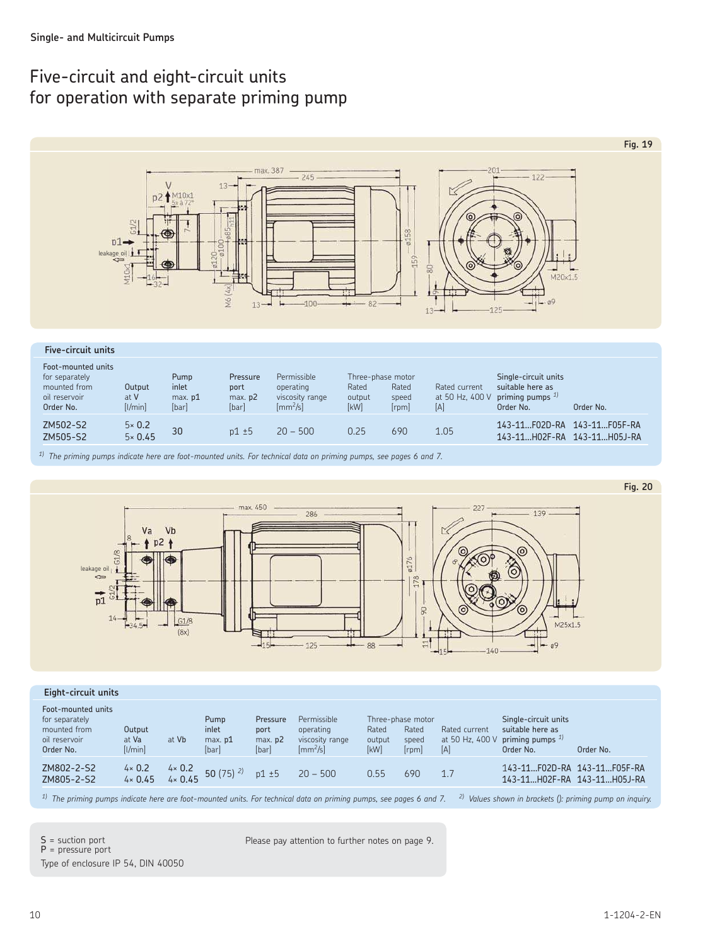### Five-circuit and eight-circuit units for operation with separate priming pump



| <b>Five-circuit units</b>                                                          |                                   |                                   |                                      |                                                                        |                                              |                                      |                                         |                                                                            |                                |
|------------------------------------------------------------------------------------|-----------------------------------|-----------------------------------|--------------------------------------|------------------------------------------------------------------------|----------------------------------------------|--------------------------------------|-----------------------------------------|----------------------------------------------------------------------------|--------------------------------|
| Foot-mounted units<br>for separately<br>mounted from<br>oil reservoir<br>Order No. | Output<br>at V<br>[1/min]         | Pump<br>inlet<br>max. p1<br>[bar] | Pressure<br>port<br>max. p2<br>[bar] | Permissible<br>operating<br>viscosity range<br>$\text{Imm}^2/\text{s}$ | Three-phase motor<br>Rated<br>output<br>[kW] | Rated<br>speed<br>[ <sub>rpm</sub> ] | Rated current<br>at 50 Hz, 400 V<br>[A] | Single-circuit units<br>suitable here as<br>priming pumps $1$<br>Order No. | Order No.                      |
| ZM502-S2<br>ZM505-S2                                                               | $5 \times 0.2$<br>$5 \times 0.45$ | 30                                | $p1 \pm 5$                           | $20 - 500$                                                             | 0.25                                         | 690                                  | 1.05                                    | 143-11F02D-RA<br>143-11H02F-RA                                             | 143-11F05F-RA<br>143-11H05J-RA |

*1) The priming pumps indicate here are foot-mounted units. For technical data on priming pumps, see pages 6 and 7.* 



#### **Eight-circuit units**

| Foot-mounted units<br>for separately<br>mounted from<br>oil reservoir<br>Order No. | Output<br>at Va<br>[1/min] | at Vb | Pump<br>inlet<br>max. p1<br>[bar]                                           | Pressure<br>port<br>max. p2<br>[bar] | Permissible<br>operating<br>viscosity range<br>$\text{[mm}^2/\text{s}]$ | Rated<br>output<br>[kW] | Three-phase motor<br>Rated<br>speed<br>[ <i>rpm</i> ] | Rated current<br>[A] | Single-circuit units<br>suitable here as<br>at 50 Hz, 400 V priming pumps $^{1}$<br>Order No.                                              | Order No. |
|------------------------------------------------------------------------------------|----------------------------|-------|-----------------------------------------------------------------------------|--------------------------------------|-------------------------------------------------------------------------|-------------------------|-------------------------------------------------------|----------------------|--------------------------------------------------------------------------------------------------------------------------------------------|-----------|
| ZM802-2-S2<br>ZM805-2-S2                                                           |                            |       | $4 \times 0.2$ $4 \times 0.2$<br>$4 \times 0.45$ $50 (75)^2$ p1 ±5 20 - 500 |                                      |                                                                         | 0.55                    | 690                                                   | 1.7                  | 143-11F02D-RA 143-11F05F-RA<br>143-11HO2F-RA 143-11HO5J-RA                                                                                 |           |
|                                                                                    |                            |       |                                                                             |                                      |                                                                         |                         |                                                       |                      | $\alpha$ and $\alpha$ and $\alpha$ and $\alpha$ and $\alpha$ and $\alpha$ and $\alpha$ and $\alpha$ and $\alpha$ and $\alpha$ and $\alpha$ |           |

 *1) The priming pumps indicate here are foot-mounted units. For technical data on priming pumps, see pages 6 and 7. 2) Values shown in brackets (): priming pump on inquiry.*

S = suction port

P = pressure port Type of enclosure IP 54, DIN 40050 Please pay attention to further notes on page 9.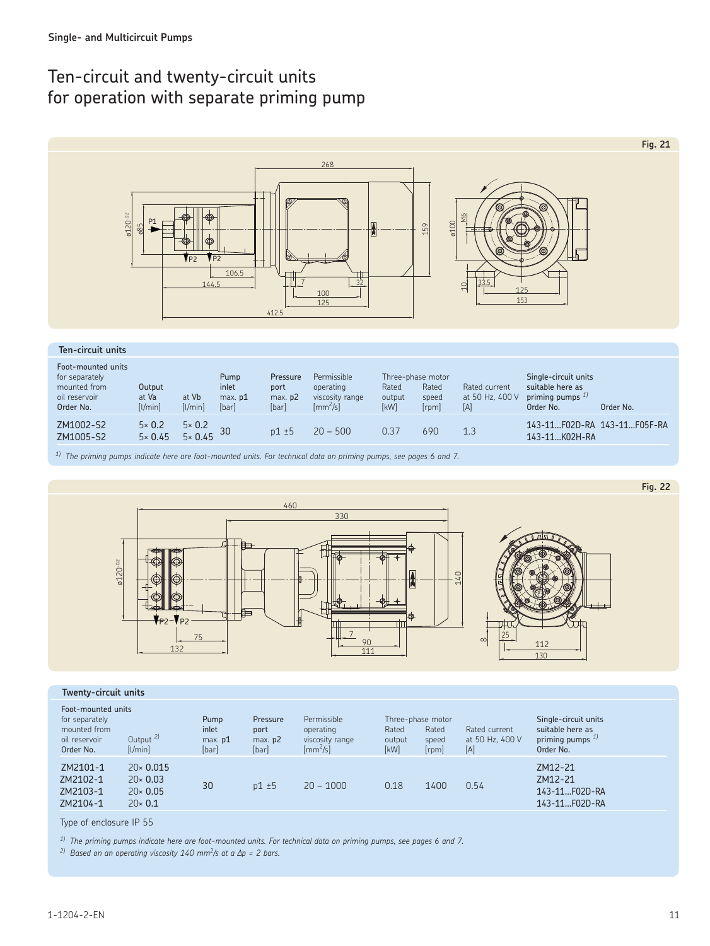### Ten-circuit and twenty-circuit units for operation with separate priming pump



| Ten-circuit units                                                                  |                                   |                                   |                                   |                                      |                                                                       |                                              |                       |                                         |                                                                            |                             |
|------------------------------------------------------------------------------------|-----------------------------------|-----------------------------------|-----------------------------------|--------------------------------------|-----------------------------------------------------------------------|----------------------------------------------|-----------------------|-----------------------------------------|----------------------------------------------------------------------------|-----------------------------|
| Foot-mounted units<br>for separately<br>mounted from<br>oil reservoir<br>Order No. | Output<br>at Va<br>[1/min]        | at Vb<br>[1/min]                  | Pump<br>inlet<br>max. p1<br>[bar] | Pressure<br>port<br>max. p2<br>[bar] | Permissible<br>operating<br>viscosity range<br>$\text{mm}^2/\text{s}$ | Three-phase motor<br>Rated<br>output<br>[kW] | Rated<br>speed<br>rpm | Rated current<br>at 50 Hz, 400 V<br>[A] | Single-circuit units<br>suitable here as<br>priming pumps $1$<br>Order No. | Order No.                   |
| ZM1002-S2<br>ZM1005-S2                                                             | $5 \times 0.2$<br>$5 \times 0.45$ | $5 \times 0.2$<br>$5 \times 0.45$ |                                   | $p1 \pm 5$                           | $20 - 500$                                                            | 0.37                                         | 690                   | 1.3                                     | 143-11.K02H-RA                                                             | 143-11F02D-RA 143-11F05F-RA |

*1) The priming pumps indicate here are foot-mounted units. For technical data on priming pumps, see pages 6 and 7.*



#### **Twenty-circuit units**

| Foot-mounted units<br>for separately<br>mounted from<br>oil reservoir<br>Order No. | Output $2$<br>[1/min]                                                        | Pump<br>inlet<br>max. p1<br>[bar] | Pressure<br>port<br>max. p2<br>[bar] | Permissible<br>operating<br>viscosity range<br>$\text{[mm}^2/\text{s}]$ | Three-phase motor<br>Rated<br>output<br>[kW] | Rated<br>speed<br>[ <i>rpm</i> ] | Rated current<br>at 50 Hz, 400 V<br>[A] | Single-circuit units<br>suitable here as<br>priming pumps $1$<br>Order No. |
|------------------------------------------------------------------------------------|------------------------------------------------------------------------------|-----------------------------------|--------------------------------------|-------------------------------------------------------------------------|----------------------------------------------|----------------------------------|-----------------------------------------|----------------------------------------------------------------------------|
| ZM2101-1<br>ZM2102-1<br>ZM2103-1<br>ZM2104-1                                       | $20 \times 0.015$<br>$20 \times 0.03$<br>$20 \times 0.05$<br>$20 \times 0.1$ | 30                                | $p1 \pm 5$                           | $20 - 1000$                                                             | 0.18                                         | 1400                             | 0.54                                    | ZM12-21<br>ZM12-21<br>143-11F02D-RA<br>143-11F02D-RA                       |

Type of enclosure IP 55

<sup>1)</sup> The priming pumps indicate here are foot-mounted units. For technical data on priming pumps, see pages 6 and 7.

<sup>2)</sup> Based on an operating viscosity 140 mm<sup>2</sup>/s at a ∆p = 2 bars.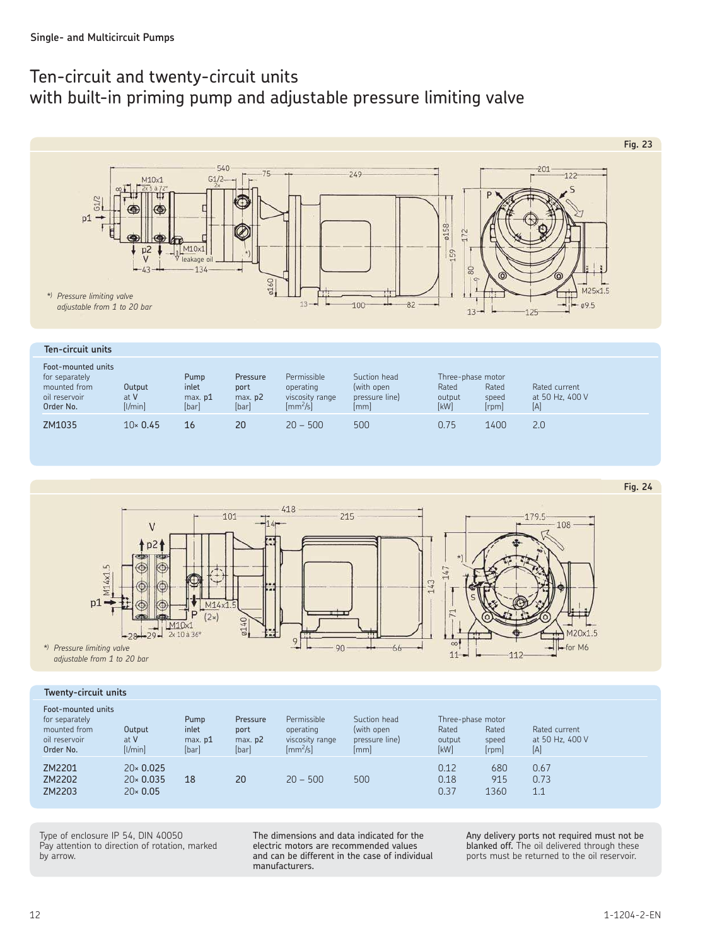### Ten-circuit and twenty-circuit units with built-in priming pump and adjustable pressure limiting valve



| Foot-mounted units<br>for separately<br>mounted from<br>oil reservoir<br>Order No. | Output<br>at V<br>$[$ l/min $]$ | Pump<br>inlet<br>$max.$ $p1$<br>[bar] | Pressure<br>port<br>max. p2<br>[bar] | Permissible<br>operating<br>viscosity range<br>$\text{/mm}^2/\text{s}$ | Suction head<br>(with open)<br>pressure line)<br>lmml | Three-phase motor<br>Rated<br>output<br>[kW] | Rated<br>speed<br> rpm | Rated current<br>at 50 Hz, 400 V<br>[A] |
|------------------------------------------------------------------------------------|---------------------------------|---------------------------------------|--------------------------------------|------------------------------------------------------------------------|-------------------------------------------------------|----------------------------------------------|------------------------|-----------------------------------------|
| ZM1035                                                                             | $10 \times 0.45$                | 16                                    | 20                                   | $20 - 500$                                                             | 500                                                   | 0.75                                         | 1400                   | 2.0                                     |



#### **Twenty-circuit units**

**Ten-circuit units**

| Foot-mounted units<br>for separately<br>mounted from<br>oil reservoir<br>Order No. | Output<br>at V<br>[1/min]                                  | Pump<br>inlet<br>max. p1<br>[bar] | Pressure<br>port<br>max. p2<br>[bar] | Permissible<br>operating<br>viscosity range<br>$\left[\text{mm}^2/\text{s}\right]$ | Suction head<br>(with open<br>pressure line)<br>lmml | Three-phase motor<br>Rated<br>output<br>[kW] | Rated<br>speed<br>[ <i>rpm</i> ] | Rated current<br>at 50 Hz, 400 V<br>[A] |
|------------------------------------------------------------------------------------|------------------------------------------------------------|-----------------------------------|--------------------------------------|------------------------------------------------------------------------------------|------------------------------------------------------|----------------------------------------------|----------------------------------|-----------------------------------------|
| ZM2201<br>ZM2202<br>ZM2203                                                         | $20 \times 0.025$<br>$20 \times 0.035$<br>$20 \times 0.05$ | 18                                | 20                                   | $20 - 500$                                                                         | 500                                                  | 0.12<br>0.18<br>0.37                         | 680<br>915<br>1360               | 0.67<br>0.73<br>1.1                     |

Type of enclosure IP 54, DIN 40050 Pay attention to direction of rotation, marked by arrow.

The dimensions and data indicated for the electric motors are recommended values and can be different in the case of individual manufacturers.

Any delivery ports not required must not be blanked off. The oil delivered through these ports must be returned to the oil reservoir.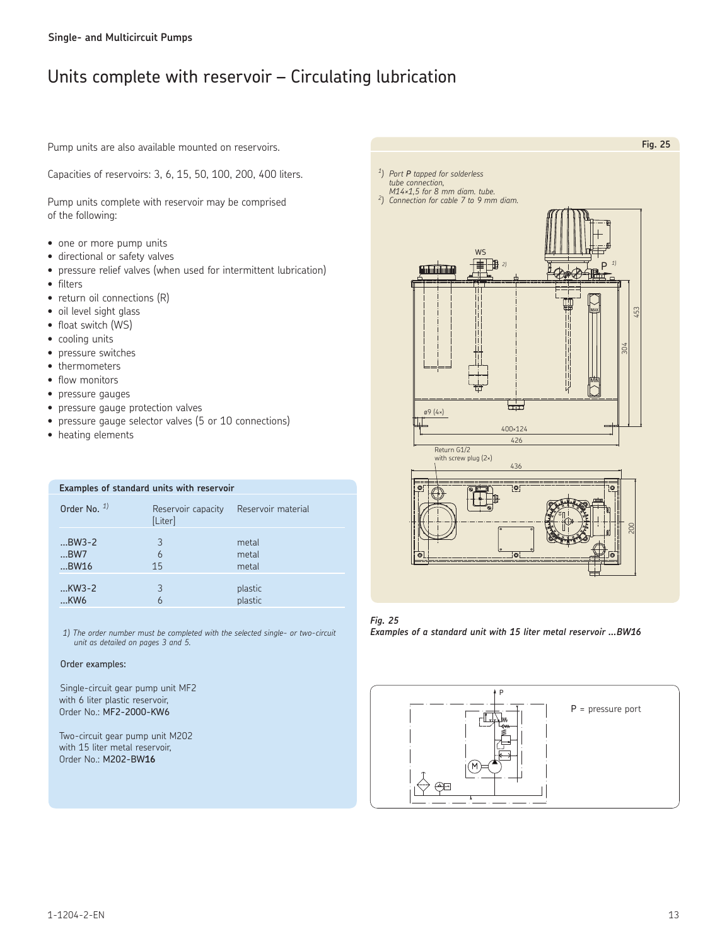### Units complete with reservoir – Circulating lubrication

Pump units are also available mounted on reservoirs.

Capacities of reservoirs: 3, 6, 15, 50, 100, 200, 400 liters.

Pump units complete with reservoir may be comprised of the following:

- one or more pump units
- directional or safety valves
- pressure relief valves (when used for intermittent lubrication)
- filters
- return oil connections (R)
- oil level sight glass
- float switch (WS)
- cooling units
- pressure switches
- thermometers
- flow monitors
- pressure gauges
- pressure gauge protection valves
- pressure gauge selector valves (5 or 10 connections)
- heating elements

| Examples of standard units with reservoir |                                                  |         |  |  |  |  |  |
|-------------------------------------------|--------------------------------------------------|---------|--|--|--|--|--|
| Order No. $1$                             | Reservoir capacity Reservoir material<br>[Liter] |         |  |  |  |  |  |
| $$ BW3-2                                  | 3                                                | metal   |  |  |  |  |  |
| $$ BW7                                    | 6                                                | metal   |  |  |  |  |  |
| BW16                                      | 15                                               | metal   |  |  |  |  |  |
| $$ KW3-2                                  | 3                                                | plastic |  |  |  |  |  |
| $$ KW6                                    | 6                                                | plastic |  |  |  |  |  |

*1) The order number must be completed with the selected single- or two-circuit unit as detailed on pages 3 and 5.*

#### Order examples:

Single-circuit gear pump unit MF2 with 6 liter plastic reservoir, Order No.: MF2-2000-KW6

Two-circuit gear pump unit M202 with 15 liter metal reservoir, Order No.: M202-BW**16**





*Examples of a standard unit with 15 liter metal reservoir …BW16*

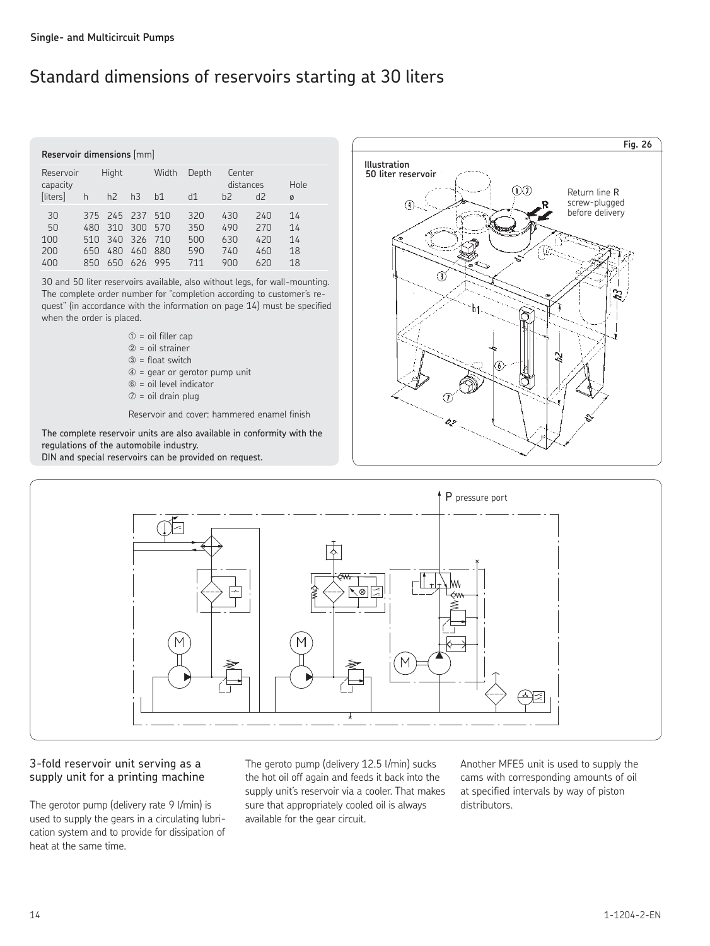### Standard dimensions of reservoirs starting at 30 liters

| <b>Reservoir dimensions</b> [mm] |     |                |                |       |       |                     |     |      |  |
|----------------------------------|-----|----------------|----------------|-------|-------|---------------------|-----|------|--|
| Reservoir<br>capacity            |     | Hight          |                | Width | Depth | Center<br>distances |     | Hole |  |
| [liters]                         | h   | h <sub>2</sub> | h <sub>3</sub> | b1    | d1    | b <sub>2</sub>      | d2  | Ø    |  |
| 30                               |     | 375 245 237    |                | 510   | 320   | 430                 | 240 | 14   |  |
| 50                               | 480 | 310            | 300            | 570   | 350   | 490                 | 270 | 14   |  |
| 100                              | 510 | 340            | 326            | 710   | 500   | 630                 | 420 | 14   |  |
| 200                              | 650 | 480            | 460            | 880   | 590   | 740                 | 460 | 18   |  |
| 400                              | 850 | 650            | 626            | 995   | 711   | 900                 | 620 | 18   |  |

30 and 50 liter reservoirs available, also without legs, for wall-mounting. The complete order number for "completion according to customer's request" (in accordance with the information on page 14) must be specified when the order is placed.

- ➀ = oil filler cap
- ➁ = oil strainer
- $\circledR =$  float switch
- $\circledA$  = gear or gerotor pump unit
- ➅ = oil level indicator
- $\oslash$  = oil drain plug

Reservoir and cover: hammered enamel finish

The complete reservoir units are also available in conformity with the regulations of the automobile industry. DIN and special reservoirs can be provided on request.





#### 3-fold reservoir unit serving as a supply unit for a printing machine

The gerotor pump (delivery rate 9 l/min) is used to supply the gears in a circulating lubrication system and to provide for dissipation of heat at the same time.

The geroto pump (delivery 12.5 l/min) sucks the hot oil off again and feeds it back into the supply unit's reservoir via a cooler. That makes sure that appropriately cooled oil is always available for the gear circuit.

Another MFE5 unit is used to supply the cams with corresponding amounts of oil at specified intervals by way of piston distributors.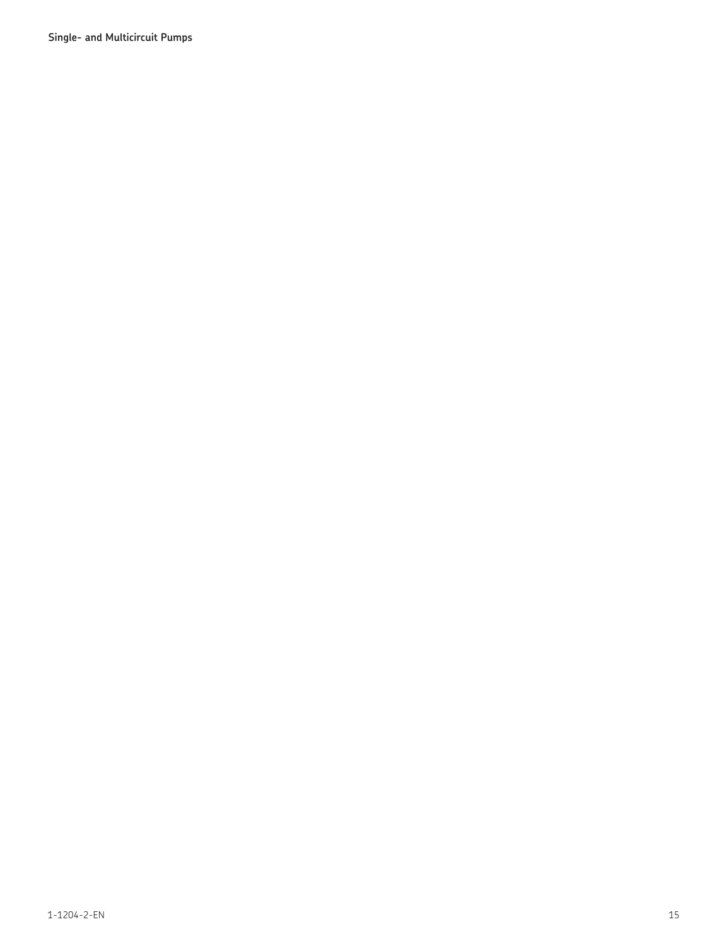**Single- and Multicircuit Pumps**